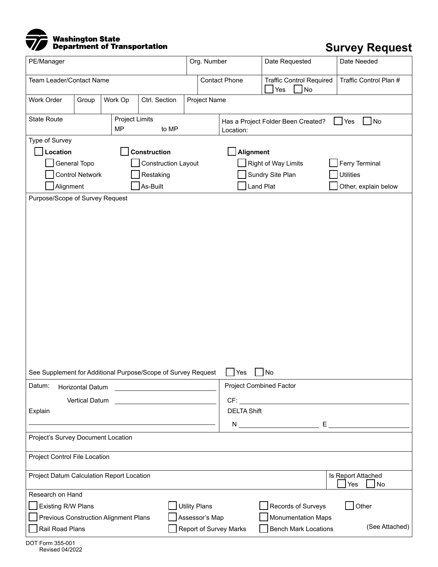

## **Survey Request**

| PE/Manager                                                                                        |       |         |                                                               | Org. Number  |                                                                               | Date Requested                               | Date Needed            |  |  |  |  |  |
|---------------------------------------------------------------------------------------------------|-------|---------|---------------------------------------------------------------|--------------|-------------------------------------------------------------------------------|----------------------------------------------|------------------------|--|--|--|--|--|
| Team Leader/Contact Name                                                                          |       |         |                                                               |              | <b>Contact Phone</b>                                                          | <b>Traffic Control Required</b><br>No<br>Yes | Traffic Control Plan # |  |  |  |  |  |
| Work Order                                                                                        | Group | Work Op | Ctrl. Section                                                 | Project Name |                                                                               |                                              |                        |  |  |  |  |  |
| <b>State Route</b><br><b>Project Limits</b>                                                       |       |         |                                                               |              | $N$ o<br>Yes<br>Has a Project Folder Been Created?                            |                                              |                        |  |  |  |  |  |
| <b>MP</b><br>to MP                                                                                |       |         |                                                               |              | Location:                                                                     |                                              |                        |  |  |  |  |  |
| Type of Survey<br>Construction                                                                    |       |         |                                                               |              |                                                                               |                                              |                        |  |  |  |  |  |
| Location                                                                                          |       |         |                                                               | Alignment    |                                                                               |                                              |                        |  |  |  |  |  |
| General Topo<br><b>Construction Layout</b>                                                        |       |         |                                                               |              | Right of Way Limits<br>Ferry Terminal<br>Sundry Site Plan<br><b>Utilities</b> |                                              |                        |  |  |  |  |  |
| <b>Control Network</b><br>Restaking<br>As-Built<br>Alignment                                      |       |         |                                                               |              | <b>Land Plat</b>                                                              | Other, explain below                         |                        |  |  |  |  |  |
| Purpose/Scope of Survey Request                                                                   |       |         |                                                               |              |                                                                               |                                              |                        |  |  |  |  |  |
|                                                                                                   |       |         | See Supplement for Additional Purpose/Scope of Survey Request |              | Yes                                                                           | No                                           |                        |  |  |  |  |  |
| Datum:<br><b>Horizontal Datum</b><br>the company of the company of the company                    |       |         |                                                               |              | <b>Project Combined Factor</b>                                                |                                              |                        |  |  |  |  |  |
| <b>Vertical Datum</b>                                                                             |       |         |                                                               |              |                                                                               |                                              |                        |  |  |  |  |  |
| Explain                                                                                           |       |         |                                                               |              | <b>DELTA Shift</b>                                                            |                                              |                        |  |  |  |  |  |
|                                                                                                   |       |         |                                                               |              |                                                                               | $N$ $E$ $\frac{E}{N}$                        |                        |  |  |  |  |  |
| Project's Survey Document Location                                                                |       |         |                                                               |              |                                                                               |                                              |                        |  |  |  |  |  |
| Project Control File Location                                                                     |       |         |                                                               |              |                                                                               |                                              |                        |  |  |  |  |  |
| Project Datum Calculation Report Location<br>Is Report Attached<br>No<br>Yes                      |       |         |                                                               |              |                                                                               |                                              |                        |  |  |  |  |  |
| Research on Hand                                                                                  |       |         |                                                               |              |                                                                               |                                              |                        |  |  |  |  |  |
| Other<br><b>Utility Plans</b><br><b>Existing R/W Plans</b><br>Records of Surveys                  |       |         |                                                               |              |                                                                               |                                              |                        |  |  |  |  |  |
| Assessor's Map<br><b>Monumentation Maps</b><br><b>Previous Construction Alignment Plans</b>       |       |         |                                                               |              |                                                                               |                                              |                        |  |  |  |  |  |
| (See Attached)<br>Rail Road Plans<br><b>Report of Survey Marks</b><br><b>Bench Mark Locations</b> |       |         |                                                               |              |                                                                               |                                              |                        |  |  |  |  |  |